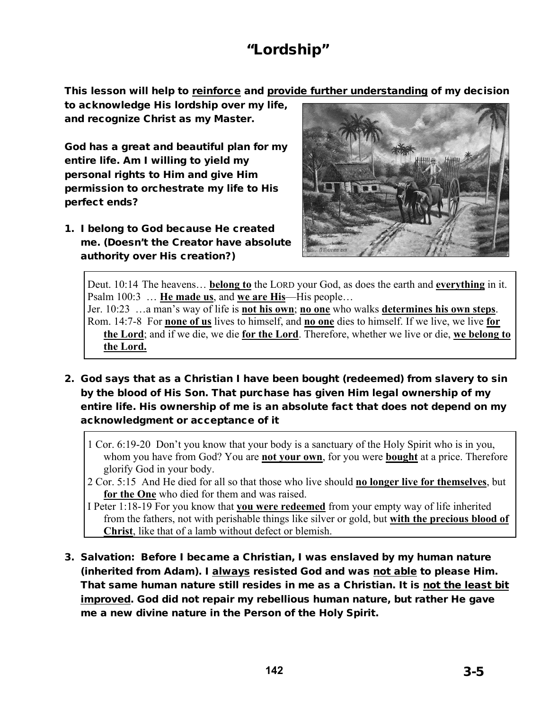# "Lordship"

This lesson will help to reinforce and provide further understanding of my decision

to acknowledge His lordship over my life, and recognize Christ as my Master.

God has a great and beautiful plan for my entire life. Am I willing to yield my personal rights to Him and give Him permission to orchestrate my life to His perfect ends?

1. I belong to God because He created me. (Doesn't the Creator have absolute authority over His creation?)



Deut. 10:14 The heavens… **belong to** the LORD your God, as does the earth and **everything** in it. Psalm 100:3 … **He made us**, and **we are His**—His people… Jer. 10:23 …a man's way of life is **not his own**; **no one** who walks **determines his own steps**.

Rom. 14:7-8 For **none of us** lives to himself, and **no one** dies to himself. If we live, we live **for the Lord**; and if we die, we die **for the Lord**. Therefore, whether we live or die, **we belong to the Lord.** 

2. God says that as a Christian I have been bought (redeemed) from slavery to sin by the blood of His Son. That purchase has given Him legal ownership of my entire life. His ownership of me is an absolute fact that does not depend on my acknowledgment or acceptance of it

1 Cor. 6:19-20 Don't you know that your body is a sanctuary of the Holy Spirit who is in you, whom you have from God? You are **not your own**, for you were **bought** at a price. Therefore glorify God in your body.

2 Cor. 5:15 And He died for all so that those who live should **no longer live for themselves**, but **for the One** who died for them and was raised.

I Peter 1:18-19 For you know that **you were redeemed** from your empty way of life inherited from the fathers, not with perishable things like silver or gold, but **with the precious blood of Christ**, like that of a lamb without defect or blemish.

3. Salvation: Before I became a Christian, I was enslaved by my human nature (inherited from Adam). I always resisted God and was not able to please Him. That same human nature still resides in me as a Christian. It is not the least bit improved. God did not repair my rebellious human nature, but rather He gave me a new divine nature in the Person of the Holy Spirit.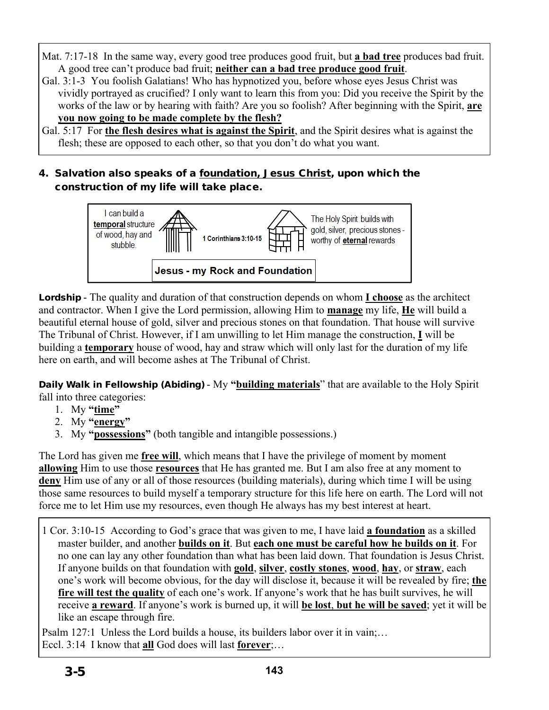Mat. 7:17-18 In the same way, every good tree produces good fruit, but **a bad tree** produces bad fruit. A good tree can't produce bad fruit; **neither can a bad tree produce good fruit**.

Gal. 3:1-3 You foolish Galatians! Who has hypnotized you, before whose eyes Jesus Christ was vividly portrayed as crucified? I only want to learn this from you: Did you receive the Spirit by the works of the law or by hearing with faith? Are you so foolish? After beginning with the Spirit, **are you now going to be made complete by the flesh?**

### Gal. 5:17 For the flesh desires what is against the Spirit, and the Spirit desires what is against the flesh; these are opposed to each other, so that you don't do what you want.

4. Salvation also speaks of a foundation, Jesus Christ, upon which the construction of my life will take place.



Lordship - The quality and duration of that construction depends on whom **I choose** as the architect and contractor. When I give the Lord permission, allowing Him to **manage** my life, **He** will build a beautiful eternal house of gold, silver and precious stones on that foundation. That house will survive The Tribunal of Christ. However, if I am unwilling to let Him manage the construction, **I** will be building a **temporary** house of wood, hay and straw which will only last for the duration of my life here on earth, and will become ashes at The Tribunal of Christ.

Daily Walk in Fellowship (Abiding) - My **"building materials**" that are available to the Holy Spirit fall into three categories:

- 1. My **"time"**
- 2. My **"energy"**
- 3. My **"possessions"** (both tangible and intangible possessions.)

The Lord has given me **free will**, which means that I have the privilege of moment by moment **allowing** Him to use those **resources** that He has granted me. But I am also free at any moment to **deny** Him use of any or all of those resources (building materials), during which time I will be using those same resources to build myself a temporary structure for this life here on earth. The Lord will not force me to let Him use my resources, even though He always has my best interest at heart.

1 Cor. 3:10-15 According to God's grace that was given to me, I have laid **a foundation** as a skilled master builder, and another **builds on it**. But **each one must be careful how he builds on it**. For no one can lay any other foundation than what has been laid down. That foundation is Jesus Christ. If anyone builds on that foundation with **gold**, **silver**, **costly stones**, **wood**, **hay**, or **straw**, each one's work will become obvious, for the day will disclose it, because it will be revealed by fire; **the fire will test the quality** of each one's work. If anyone's work that he has built survives, he will receive **a reward**. If anyone's work is burned up, it will **be lost**, **but he will be saved**; yet it will be like an escape through fire.

Psalm 127:1 Unless the Lord builds a house, its builders labor over it in vain;… Eccl. 3:14 I know that **all** God does will last **forever**;…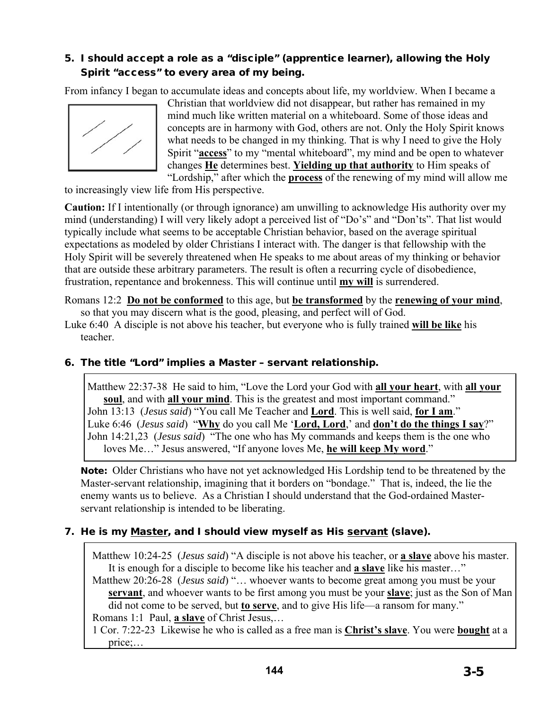# 5. I should accept a role as a "disciple" (apprentice learner), allowing the Holy Spirit "access" to every area of my being.

From infancy I began to accumulate ideas and concepts about life, my worldview. When I became a



Christian that worldview did not disappear, but rather has remained in my mind much like written material on a whiteboard. Some of those ideas and concepts are in harmony with God, others are not. Only the Holy Spirit knows what needs to be changed in my thinking. That is why I need to give the Holy Spirit "**access**" to my "mental whiteboard", my mind and be open to whatever changes **He** determines best. **Yielding up that authority** to Him speaks of "Lordship," after which the **process** of the renewing of my mind will allow me

to increasingly view life from His perspective.

**Caution:** If I intentionally (or through ignorance) am unwilling to acknowledge His authority over my mind (understanding) I will very likely adopt a perceived list of "Do's" and "Don'ts". That list would typically include what seems to be acceptable Christian behavior, based on the average spiritual expectations as modeled by older Christians I interact with. The danger is that fellowship with the Holy Spirit will be severely threatened when He speaks to me about areas of my thinking or behavior that are outside these arbitrary parameters. The result is often a recurring cycle of disobedience, frustration, repentance and brokenness. This will continue until **my will** is surrendered.

Romans 12:2 **Do not be conformed** to this age, but **be transformed** by the **renewing of your mind**, so that you may discern what is the good, pleasing, and perfect will of God.

Luke 6:40 A disciple is not above his teacher, but everyone who is fully trained **will be like** his teacher.

#### 6. The title "Lord" implies a Master – servant relationship.

Matthew 22:37-38 He said to him, "Love the Lord your God with **all your heart**, with **all your soul**, and with **all your mind**. This is the greatest and most important command." John 13:13 (*Jesus said*) "You call Me Teacher and **Lord**. This is well said, **for I am**." Luke 6:46 (*Jesus said*) "**Why** do you call Me '**Lord, Lord**,' and **don't do the things I say**?" John 14:21,23 (*Jesus said*) "The one who has My commands and keeps them is the one who loves Me…" Jesus answered, "If anyone loves Me, **he will keep My word**."

Note: Older Christians who have not yet acknowledged His Lordship tend to be threatened by the Master-servant relationship, imagining that it borders on "bondage." That is, indeed, the lie the enemy wants us to believe. As a Christian I should understand that the God-ordained Masterservant relationship is intended to be liberating.

#### 7. He is my Master, and I should view myself as His servant (slave).

Matthew 10:24-25 (*Jesus said*) "A disciple is not above his teacher, or **a slave** above his master. It is enough for a disciple to become like his teacher and **a slave** like his master…"

Matthew 20:26-28 (*Jesus said*) "… whoever wants to become great among you must be your **servant**, and whoever wants to be first among you must be your **slave**; just as the Son of Man did not come to be served, but **to serve**, and to give His life—a ransom for many." Romans 1:1 Paul, **a slave** of Christ Jesus,…

1 Cor. 7:22-23 Likewise he who is called as a free man is **Christ's slave**. You were **bought** at a price;…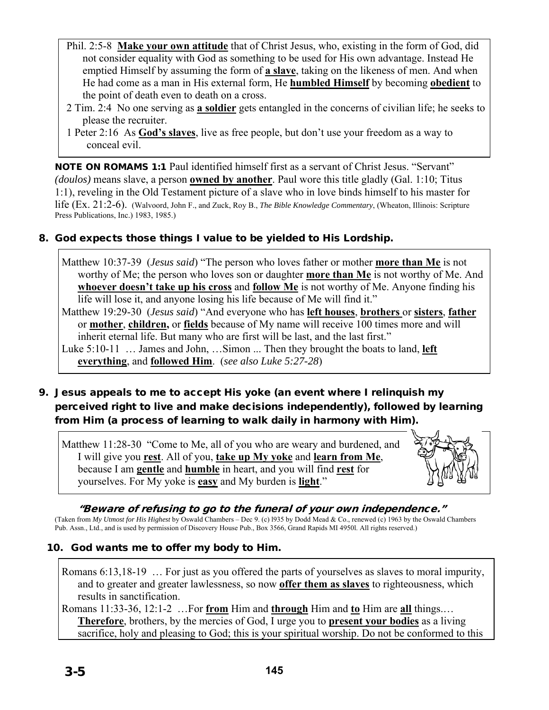- Phil. 2:5-8 **Make your own attitude** that of Christ Jesus, who, existing in the form of God, did not consider equality with God as something to be used for His own advantage. Instead He emptied Himself by assuming the form of **a slave**, taking on the likeness of men. And when He had come as a man in His external form, He **humbled Himself** by becoming **obedient** to the point of death even to death on a cross.
- 2 Tim. 2:4 No one serving as **a soldier** gets entangled in the concerns of civilian life; he seeks to please the recruiter.
- 1 Peter 2:16 As **God's slaves**, live as free people, but don't use your freedom as a way to conceal evil.

NOTE ON ROMAMS 1:1 Paul identified himself first as a servant of Christ Jesus. "Servant" *(doulos)* means slave, a person **owned by another**. Paul wore this title gladly (Gal. 1:10; Titus 1:1), reveling in the Old Testament picture of a slave who in love binds himself to his master for life (Ex. 21:2-6). (Walvoord, John F., and Zuck, Roy B., *The Bible Knowledge Commentary*, (Wheaton, Illinois: Scripture Press Publications, Inc.) 1983, 1985.)

### 8. God expects those things I value to be yielded to His Lordship.

Matthew 10:37-39 (*Jesus said*) "The person who loves father or mother **more than Me** is not worthy of Me; the person who loves son or daughter **more than Me** is not worthy of Me. And **whoever doesn't take up his cross** and **follow Me** is not worthy of Me. Anyone finding his life will lose it, and anyone losing his life because of Me will find it."

Matthew 19:29-30 (*Jesus said*) "And everyone who has **left houses**, **brothers** or **sisters**, **father** or **mother**, **children,** or **fields** because of My name will receive 100 times more and will inherit eternal life. But many who are first will be last, and the last first."

Luke 5:10-11 ... James and John, ... Simon ... Then they brought the boats to land, **left everything**, and **followed Him**. (*see also Luke 5:27-28*)

9. Jesus appeals to me to accept His yoke (an event where I relinquish my perceived right to live and make decisions independently), followed by learning from Him (a process of learning to walk daily in harmony with Him).

Matthew 11:28-30 "Come to Me, all of you who are weary and burdened, and I will give you **rest**. All of you, **take up My yoke** and **learn from Me**, because I am **gentle** and **humble** in heart, and you will find **rest** for yourselves. For My yoke is **easy** and My burden is **light**."



"Beware of refusing to go to the funeral of your own independence." (Taken from *My Utmost for His Highest* by Oswald Chambers – Dec 9. (c) l935 by Dodd Mead & Co., renewed (c) 1963 by the Oswald Chambers Pub. Assn., Ltd., and is used by permission of Discovery House Pub., Box 3566, Grand Rapids MI 4950l. All rights reserved.)

#### 10. God wants me to offer my body to Him.

Romans 6:13,18-19 … For just as you offered the parts of yourselves as slaves to moral impurity, and to greater and greater lawlessness, so now **offer them as slaves** to righteousness, which results in sanctification.

Romans 11:33-36, 12:1-2 …For **from** Him and **through** Him and **to** Him are **all** things.… **Therefore**, brothers, by the mercies of God, I urge you to **present your bodies** as a living sacrifice, holy and pleasing to God; this is your spiritual worship. Do not be conformed to this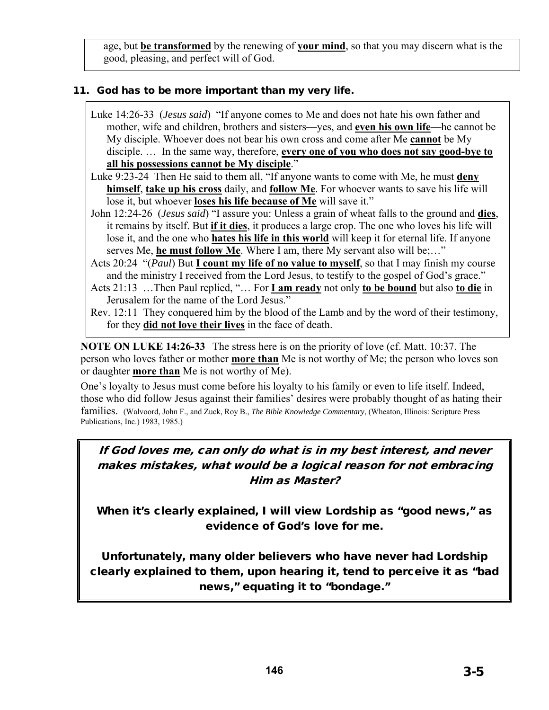age, but **be transformed** by the renewing of **your mind**, so that you may discern what is the good, pleasing, and perfect will of God.

### 11. God has to be more important than my very life.

- Luke 14:26-33 (*Jesus said*) "If anyone comes to Me and does not hate his own father and mother, wife and children, brothers and sisters—yes, and **even his own life**—he cannot be My disciple. Whoever does not bear his own cross and come after Me **cannot** be My disciple. … In the same way, therefore, **every one of you who does not say good-bye to all his possessions cannot be My disciple**."
- Luke 9:23-24 Then He said to them all, "If anyone wants to come with Me, he must **deny himself**, **take up his cross** daily, and **follow Me**. For whoever wants to save his life will lose it, but whoever **loses his life because of Me** will save it."
- John 12:24-26 (*Jesus said*) "I assure you: Unless a grain of wheat falls to the ground and **dies**, it remains by itself. But **if it dies**, it produces a large crop. The one who loves his life will lose it, and the one who **hates his life in this world** will keep it for eternal life. If anyone serves Me, **he must follow Me**. Where I am, there My servant also will be;…"
- Acts 20:24 "(*Paul*) But **I count my life of no value to myself**, so that I may finish my course and the ministry I received from the Lord Jesus, to testify to the gospel of God's grace."
- Acts 21:13 …Then Paul replied, "… For **I am ready** not only **to be bound** but also **to die** in Jerusalem for the name of the Lord Jesus."
- Rev. 12:11 They conquered him by the blood of the Lamb and by the word of their testimony, for they **did not love their lives** in the face of death.

**NOTE ON LUKE 14:26-33** The stress here is on the priority of love (cf. Matt. 10:37. The person who loves father or mother **more than** Me is not worthy of Me; the person who loves son or daughter **more than** Me is not worthy of Me).

One's loyalty to Jesus must come before his loyalty to his family or even to life itself. Indeed, those who did follow Jesus against their families' desires were probably thought of as hating their families. (Walvoord, John F., and Zuck, Roy B., *The Bible Knowledge Commentary*, (Wheaton, Illinois: Scripture Press Publications, Inc.) 1983, 1985.)

# If God loves me, can only do what is in my best interest, and never makes mistakes, what would be a logical reason for not embracing Him as Master?

When it's clearly explained, I will view Lordship as "good news," as evidence of God's love for me.

Unfortunately, many older believers who have never had Lordship clearly explained to them, upon hearing it, tend to perceive it as "bad news," equating it to "bondage."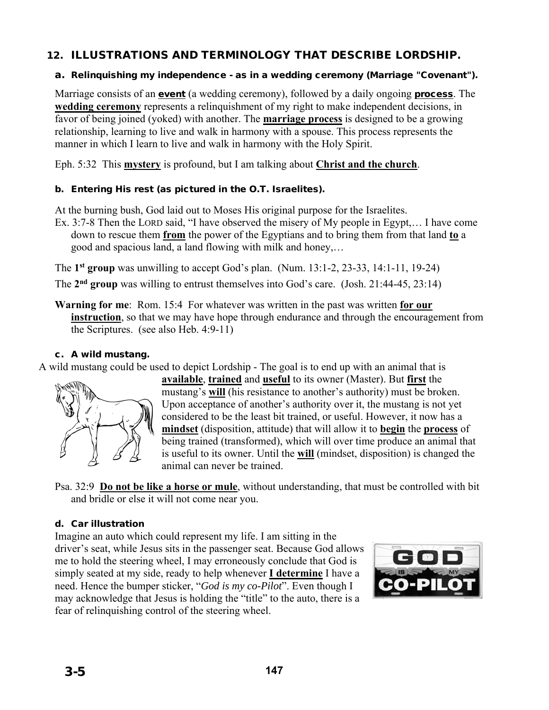### 12. ILLUSTRATIONS AND TERMINOLOGY THAT DESCRIBE LORDSHIP.

#### a. Relinquishing my independence - as in a wedding ceremony (Marriage "Covenant").

Marriage consists of an **event** (a wedding ceremony), followed by a daily ongoing **process**. The **wedding ceremony** represents a relinquishment of my right to make independent decisions, in favor of being joined (yoked) with another. The **marriage process** is designed to be a growing relationship, learning to live and walk in harmony with a spouse. This process represents the manner in which I learn to live and walk in harmony with the Holy Spirit.

Eph. 5:32 This **mystery** is profound, but I am talking about **Christ and the church**.

#### b. Entering His rest (as pictured in the O.T. Israelites).

At the burning bush, God laid out to Moses His original purpose for the Israelites.

Ex. 3:7-8 Then the LORD said, "I have observed the misery of My people in Egypt,… I have come down to rescue them **from** the power of the Egyptians and to bring them from that land **to** a good and spacious land, a land flowing with milk and honey,…

The **1st group** was unwilling to accept God's plan. (Num. 13:1-2, 23-33, 14:1-11, 19-24)

The **2nd group** was willing to entrust themselves into God's care. (Josh. 21:44-45, 23:14)

**Warning for me**: Rom. 15:4 For whatever was written in the past was written **for our instruction**, so that we may have hope through endurance and through the encouragement from the Scriptures. (see also Heb. 4:9-11)

#### c. A wild mustang.

A wild mustang could be used to depict Lordship - The goal is to end up with an animal that is



**available**, **trained** and **useful** to its owner (Master). But **first** the mustang's **will** (his resistance to another's authority) must be broken. Upon acceptance of another's authority over it, the mustang is not yet considered to be the least bit trained, or useful. However, it now has a **mindset** (disposition, attitude) that will allow it to **begin** the **process** of being trained (transformed), which will over time produce an animal that is useful to its owner. Until the **will** (mindset, disposition) is changed the animal can never be trained.

Psa. 32:9 **Do not be like a horse or mule**, without understanding, that must be controlled with bit and bridle or else it will not come near you.

#### d. Car illustration

Imagine an auto which could represent my life. I am sitting in the driver's seat, while Jesus sits in the passenger seat. Because God allows me to hold the steering wheel, I may erroneously conclude that God is simply seated at my side, ready to help whenever **I determine** I have a need. Hence the bumper sticker, "*God is my co-Pilot*". Even though I may acknowledge that Jesus is holding the "title" to the auto, there is a fear of relinquishing control of the steering wheel.

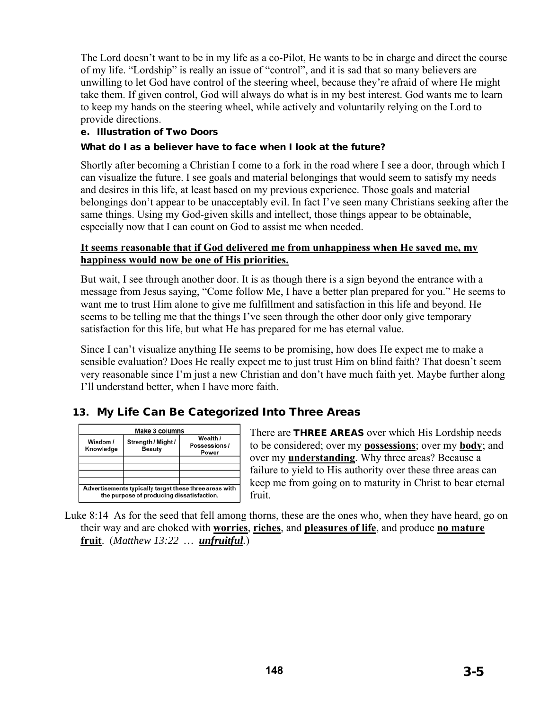The Lord doesn't want to be in my life as a co-Pilot, He wants to be in charge and direct the course of my life. "Lordship" is really an issue of "control", and it is sad that so many believers are unwilling to let God have control of the steering wheel, because they're afraid of where He might take them. If given control, God will always do what is in my best interest. God wants me to learn to keep my hands on the steering wheel, while actively and voluntarily relying on the Lord to provide directions.

#### e. Illustration of Two Doors

#### What do I as a believer have to face when I look at the future?

Shortly after becoming a Christian I come to a fork in the road where I see a door, through which I can visualize the future. I see goals and material belongings that would seem to satisfy my needs and desires in this life, at least based on my previous experience. Those goals and material belongings don't appear to be unacceptably evil. In fact I've seen many Christians seeking after the same things. Using my God-given skills and intellect, those things appear to be obtainable, especially now that I can count on God to assist me when needed.

#### **It seems reasonable that if God delivered me from unhappiness when He saved me, my happiness would now be one of His priorities.**

But wait, I see through another door. It is as though there is a sign beyond the entrance with a message from Jesus saying, "Come follow Me, I have a better plan prepared for you." He seems to want me to trust Him alone to give me fulfillment and satisfaction in this life and beyond. He seems to be telling me that the things I've seen through the other door only give temporary satisfaction for this life, but what He has prepared for me has eternal value.

Since I can't visualize anything He seems to be promising, how does He expect me to make a sensible evaluation? Does He really expect me to just trust Him on blind faith? That doesn't seem very reasonable since I'm just a new Christian and don't have much faith yet. Maybe further along I'll understand better, when I have more faith.

# 13. My Life Can Be Categorized Into Three Areas

| Wisdom /<br>Knowledge | Strength / Might /<br><b>Beauty</b>       | Wealth /<br>Possessions/<br>Power                      |
|-----------------------|-------------------------------------------|--------------------------------------------------------|
|                       |                                           |                                                        |
|                       | the purpose of producing dissatisfaction. | Advertisements typically target these three areas with |

There are **THREE AREAS** over which His Lordship needs to be considered; over my **possessions**; over my **body**; and over my **understanding**. Why three areas? Because a failure to yield to His authority over these three areas can keep me from going on to maturity in Christ to bear eternal fruit.

Luke 8:14 As for the seed that fell among thorns, these are the ones who, when they have heard, go on their way and are choked with **worries**, **riches**, and **pleasures of life**, and produce **no mature fruit**. (*Matthew 13:22 … unfruitful.*)